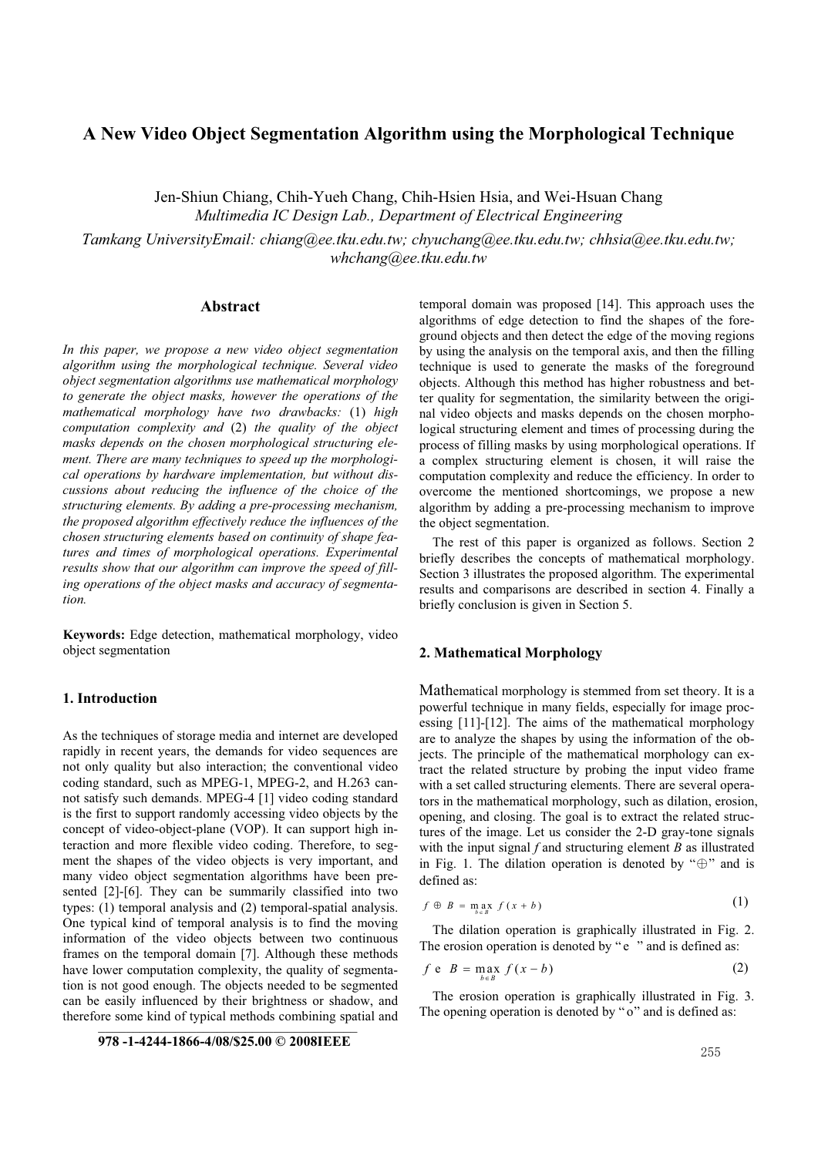## **A New Video Object Segmentation Algorithm using the Morphological Technique**

Jen-Shiun Chiang, Chih-Yueh Chang, Chih-Hsien Hsia, and Wei-Hsuan Chang *Multimedia IC Design Lab., Department of Electrical Engineering* 

*Tamkang UniversityEmail: chiang@ee.tku.edu.tw; chyuchang@ee.tku.edu.tw; chhsia@ee.tku.edu.tw; whchang@ee.tku.edu.tw*

### **Abstract**

*In this paper, we propose a new video object segmentation algorithm using the morphological technique. Several video object segmentation algorithms use mathematical morphology to generate the object masks, however the operations of the mathematical morphology have two drawbacks:* (1) *high computation complexity and* (2) *the quality of the object masks depends on the chosen morphological structuring element. There are many techniques to speed up the morphological operations by hardware implementation, but without discussions about reducing the influence of the choice of the structuring elements. By adding a pre-processing mechanism, the proposed algorithm effectively reduce the influences of the chosen structuring elements based on continuity of shape features and times of morphological operations. Experimental results show that our algorithm can improve the speed of filling operations of the object masks and accuracy of segmentation.* 

**Keywords:** Edge detection, mathematical morphology, video object segmentation

## **1. Introduction**

As the techniques of storage media and internet are developed rapidly in recent years, the demands for video sequences are not only quality but also interaction; the conventional video coding standard, such as MPEG-1, MPEG-2, and H.263 cannot satisfy such demands. MPEG-4 [1] video coding standard is the first to support randomly accessing video objects by the concept of video-object-plane (VOP). It can support high interaction and more flexible video coding. Therefore, to segment the shapes of the video objects is very important, and many video object segmentation algorithms have been presented [2]-[6]. They can be summarily classified into two types: (1) temporal analysis and (2) temporal-spatial analysis. One typical kind of temporal analysis is to find the moving information of the video objects between two continuous frames on the temporal domain [7]. Although these methods have lower computation complexity, the quality of segmentation is not good enough. The objects needed to be segmented can be easily influenced by their brightness or shadow, and therefore some kind of typical methods combining spatial and temporal domain was proposed [14]. This approach uses the algorithms of edge detection to find the shapes of the foreground objects and then detect the edge of the moving regions by using the analysis on the temporal axis, and then the filling technique is used to generate the masks of the foreground objects. Although this method has higher robustness and better quality for segmentation, the similarity between the original video objects and masks depends on the chosen morphological structuring element and times of processing during the process of filling masks by using morphological operations. If a complex structuring element is chosen, it will raise the computation complexity and reduce the efficiency. In order to overcome the mentioned shortcomings, we propose a new algorithm by adding a pre-processing mechanism to improve the object segmentation.

 The rest of this paper is organized as follows. Section 2 briefly describes the concepts of mathematical morphology. Section 3 illustrates the proposed algorithm. The experimental results and comparisons are described in section 4. Finally a briefly conclusion is given in Section 5.

## **2. Mathematical Morphology**

Mathematical morphology is stemmed from set theory. It is a powerful technique in many fields, especially for image processing [11]-[12]. The aims of the mathematical morphology are to analyze the shapes by using the information of the objects. The principle of the mathematical morphology can extract the related structure by probing the input video frame with a set called structuring elements. There are several operators in the mathematical morphology, such as dilation, erosion, opening, and closing. The goal is to extract the related structures of the image. Let us consider the 2-D gray-tone signals with the input signal *f* and structuring element *B* as illustrated in Fig. 1. The dilation operation is denoted by " $\oplus$ " and is defined as:

$$
f \oplus B = \max_{b \in B} f(x + b) \tag{1}
$$

The dilation operation is graphically illustrated in Fig. 2. The erosion operation is denoted by "e" and is defined as:

$$
f \, \mathbf{e} \, B = \max_{b \in B} f(x - b) \tag{2}
$$

The erosion operation is graphically illustrated in Fig. 3. The opening operation is denoted by " $o$ " and is defined as:

**978 -1-4244-1866-4/08/\$25.00 © 2008IEEE**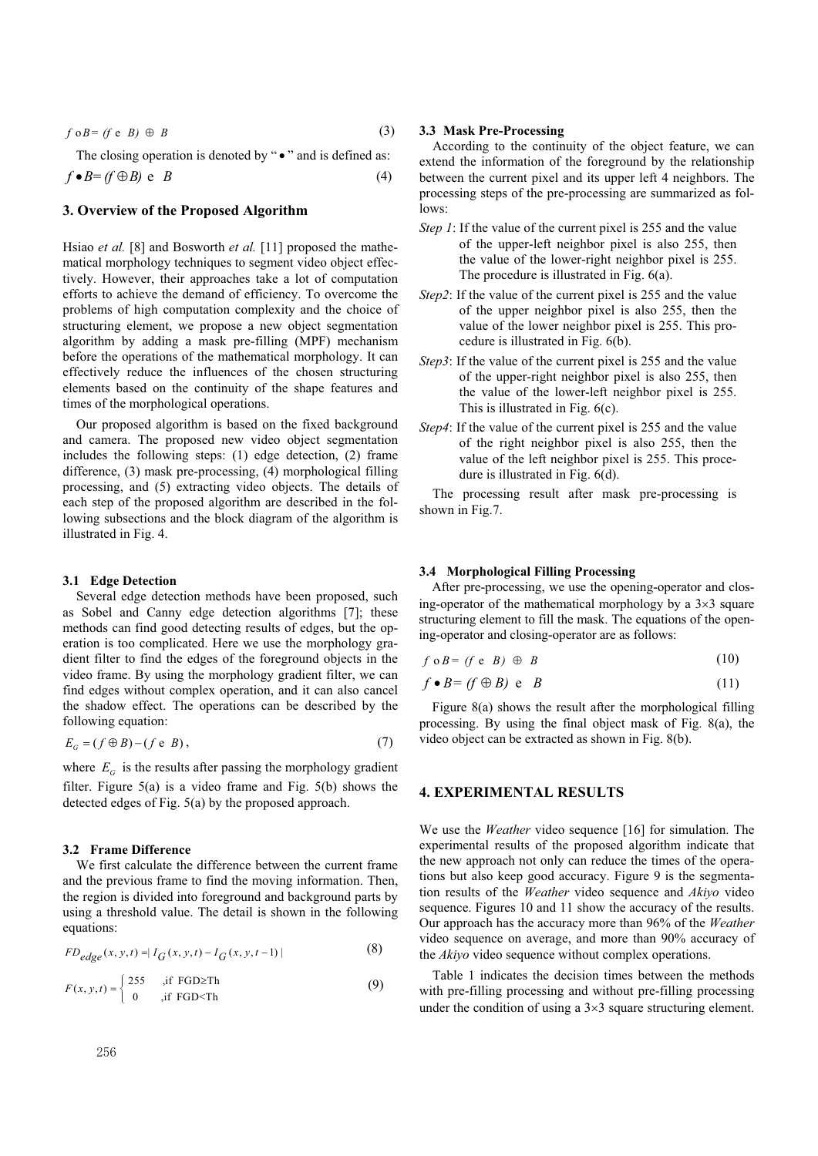$$
f \circ B = (f \circ B) \oplus B \tag{3}
$$

The closing operation is denoted by " $\bullet$ " and is defined as:  $f \bullet B = (f \oplus B) \in B$  (4)

# **3. Overview of the Proposed Algorithm**

Hsiao *et al.* [8] and Bosworth *et al.* [11] proposed the mathematical morphology techniques to segment video object effectively. However, their approaches take a lot of computation efforts to achieve the demand of efficiency. To overcome the problems of high computation complexity and the choice of structuring element, we propose a new object segmentation algorithm by adding a mask pre-filling (MPF) mechanism before the operations of the mathematical morphology. It can effectively reduce the influences of the chosen structuring elements based on the continuity of the shape features and times of the morphological operations.

Our proposed algorithm is based on the fixed background and camera. The proposed new video object segmentation includes the following steps: (1) edge detection, (2) frame difference, (3) mask pre-processing, (4) morphological filling processing, and (5) extracting video objects. The details of each step of the proposed algorithm are described in the following subsections and the block diagram of the algorithm is illustrated in Fig. 4.

#### **3.1 Edge Detection**

Several edge detection methods have been proposed, such as Sobel and Canny edge detection algorithms [7]; these methods can find good detecting results of edges, but the operation is too complicated. Here we use the morphology gradient filter to find the edges of the foreground objects in the video frame. By using the morphology gradient filter, we can find edges without complex operation, and it can also cancel the shadow effect. The operations can be described by the following equation:

$$
E_G = (f \oplus B) - (f \oplus B),\tag{7}
$$

where  $E_G$  is the results after passing the morphology gradient filter. Figure 5(a) is a video frame and Fig. 5(b) shows the detected edges of Fig. 5(a) by the proposed approach.

#### **3.2 Frame Difference**

We first calculate the difference between the current frame and the previous frame to find the moving information. Then, the region is divided into foreground and background parts by using a threshold value. The detail is shown in the following equations:

$$
FD_{edge}(x, y, t) = |I_G(x, y, t) - I_G(x, y, t-1)|
$$
\n(8)

$$
F(x, y, t) = \begin{cases} 255 & ,\text{if } FGD \ge Th \\ 0 & ,\text{if } FGD < Th \end{cases} \tag{9}
$$

#### **3.3 Mask Pre-Processing**

According to the continuity of the object feature, we can extend the information of the foreground by the relationship between the current pixel and its upper left 4 neighbors. The processing steps of the pre-processing are summarized as follows:

- *Step 1*: If the value of the current pixel is 255 and the value of the upper-left neighbor pixel is also 255, then the value of the lower-right neighbor pixel is 255. The procedure is illustrated in Fig. 6(a).
- *Step2*: If the value of the current pixel is 255 and the value of the upper neighbor pixel is also 255, then the value of the lower neighbor pixel is 255. This procedure is illustrated in Fig. 6(b).
- *Step3*: If the value of the current pixel is 255 and the value of the upper-right neighbor pixel is also 255, then the value of the lower-left neighbor pixel is 255. This is illustrated in Fig. 6(c).
- *Step4*: If the value of the current pixel is 255 and the value of the right neighbor pixel is also 255, then the value of the left neighbor pixel is 255. This procedure is illustrated in Fig. 6(d).

The processing result after mask pre-processing is shown in Fig.7.

#### **3.4 Morphological Filling Processing**

After pre-processing, we use the opening-operator and closing-operator of the mathematical morphology by a  $3\times3$  square structuring element to fill the mask. The equations of the opening-operator and closing-operator are as follows:

$$
f \circ B = (f \circ B) \oplus B \tag{10}
$$

$$
f \bullet B = (f \oplus B) \text{ e } B \tag{11}
$$

Figure 8(a) shows the result after the morphological filling processing. By using the final object mask of Fig. 8(a), the video object can be extracted as shown in Fig. 8(b).

#### **4. EXPERIMENTAL RESULTS**

We use the *Weather* video sequence [16] for simulation. The experimental results of the proposed algorithm indicate that the new approach not only can reduce the times of the operations but also keep good accuracy. Figure 9 is the segmentation results of the *Weather* video sequence and *Akiyo* video sequence. Figures 10 and 11 show the accuracy of the results. Our approach has the accuracy more than 96% of the *Weather* video sequence on average, and more than 90% accuracy of the *Akiyo* video sequence without complex operations.

Table 1 indicates the decision times between the methods with pre-filling processing and without pre-filling processing under the condition of using a  $3\times 3$  square structuring element.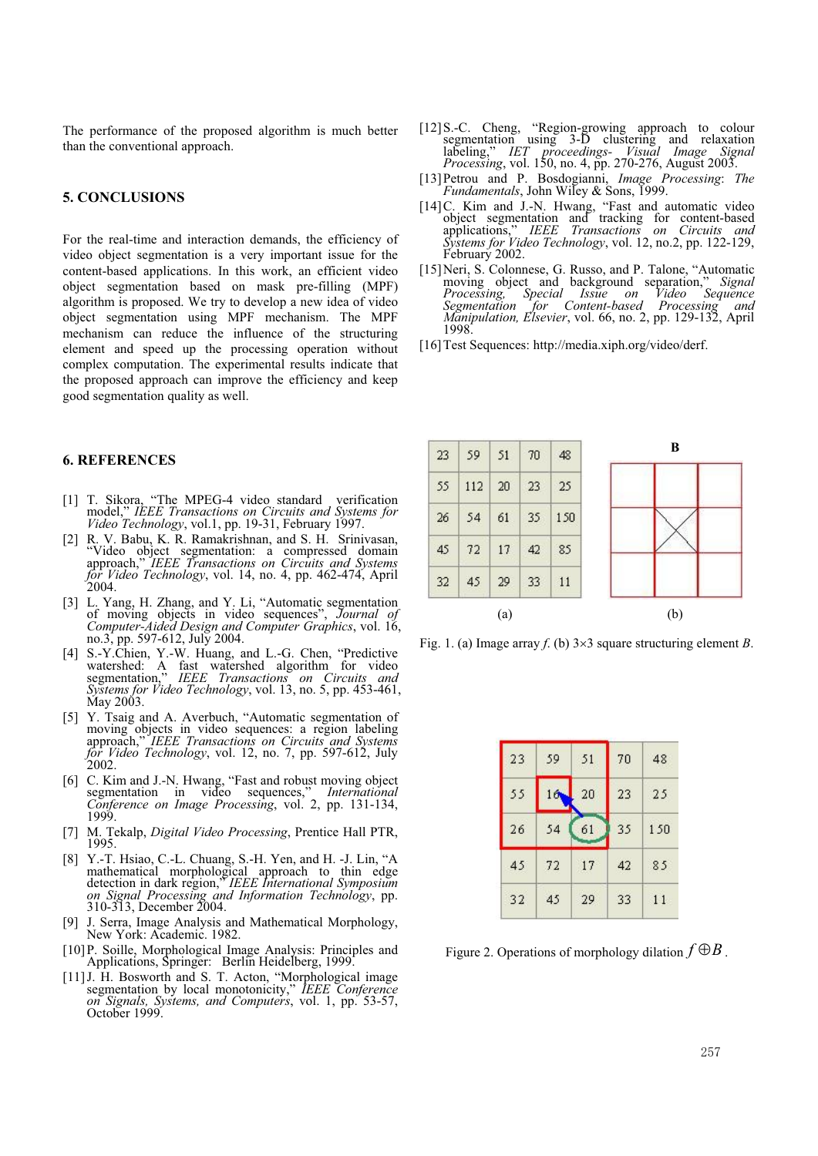The performance of the proposed algorithm is much better than the conventional approach.

#### **5. CONCLUSIONS**

For the real-time and interaction demands, the efficiency of video object segmentation is a very important issue for the content-based applications. In this work, an efficient video object segmentation based on mask pre-filling (MPF) algorithm is proposed. We try to develop a new idea of video object segmentation using MPF mechanism. The MPF mechanism can reduce the influence of the structuring element and speed up the processing operation without complex computation. The experimental results indicate that the proposed approach can improve the efficiency and keep good segmentation quality as well.

## **6. REFERENCES**

- [1] T. Sikora, "The MPEG-4 video standard verification model," IEEE Transactions on Circuits and Systems for Video Technology, vol.1, pp. 19-31, February 1997.
- [2] R. V. Babu, K. R. Ramakrishnan, and S. H. Srinivasan, "Video object segmentation: a compressed domain approach," *IEEE Transactions on Circuits and Systems for Video Technology*, vol. 14, no. 4, pp. 462-474, April  $2004.$
- [3] L. Yang, H. Zhang, and Y. Li, "Automatic segmentation of moving objects in video sequences", *Journal of Computer-Aided Design and Computer Graphics*, vol. 16, no.3, pp. 597-612, July 2004.<br>[4] S.-Y.Chien, Y.-W. Huang, and L.-G. Chen, "Predictive"
- [4] S.-Y.Chien, Y.-W. Huang, and L.-G. Chen, "Predictive watershed: A fast watershed algorithm for video segmentation," *IEEE Transactions on Circuits and Systems for Video Technology*, vol. 13, no. 5, pp. 453-461, May 2003.
- [5] Y. Tsaig and A. Averbuch, "Automatic segmentation of moving objects in video sequences: a region labeling approach," *IEEE Transactions on Circuits and Systems for Video Technology*, vol. 12, no. 7, pp. 597-612, July  $2002.$
- [6] C. Kim and J.-N. Hwang, "Fast and robust moving object segmentation in video sequences," *International Conference on Image Processing*, vol. 2, pp. 131-134, 1999.
- [7] M. Tekalp, *Digital Video Processing*, Prentice Hall PTR, 1995.
- [8] Y.-T. Hsiao, C.-L. Chuang, S.-H. Yen, and H. -J. Lin, "A mathematical morphological approach to thin edge detection in dark region," IEEE International Symposium on Signal Processing and Information Technology, pp.<br>310-313, December 2004.
- [9] J. Serra, Image Analysis and Mathematical Morphology, New York: Academic. 1982.
- [10] P. Soille, Morphological Image Analysis: Principles and Applications, Springer: Berlin Heidelberg, 1999.
- [11] J. H. Bosworth and S. T. Acton, "Morphological image segmentation by local monotonicity," *IEEE Conference on Signals, Systems, and Computers*, vol. 1, pp. 53-57, October 1999.
- [12] S.-C. Cheng, "Region-growing approach to colour segmentation using 3-D clustering and relaxation labeling," *IET proceedings- Visual Image Signal Processing*, vol. 150, no. 4, pp. 270-276, August 2003.
- [13] Petrou and P. Bosdogianni, *Image Processing*: *The Fundamentals*, John Wiley & Sons, 1999.
- [14] C. Kim and J.-N. Hwang, "Fast and automatic video object segmentation and tracking for content-based applications," *IEEE Transactions on Circuits and Systems for Video Technology*, vol. 12, no.2, pp. 122-129, February 2002.
- [15] Neri, S. Colonnese, G. Russo, and P. Talone, "Automatic moving object and background separation," *Signal Processing, Special Issue on Video Sequence Segmentation for Content-based Processing, Special Issue on Video Sequence*<br>*Segmentation for Content-based Processing and Manipulation, Elsevier*, vol. 66, no. 2, pp. 129-132, April 1998.
- [16] Test Sequences: http://media.xiph.org/video/derf.



Fig. 1. (a) Image array *f*. (b)  $3 \times 3$  square structuring element *B*.

| 23 | 59 | 51 | 70 | 48  |
|----|----|----|----|-----|
| 55 | 16 | 20 | 23 | 25  |
| 26 | 54 | 61 | 35 | 150 |
| 45 | 72 | 17 | 42 | 85  |
| 32 | 45 | 29 | 33 | 11  |

Figure 2. Operations of morphology dilation  $f \oplus B$ .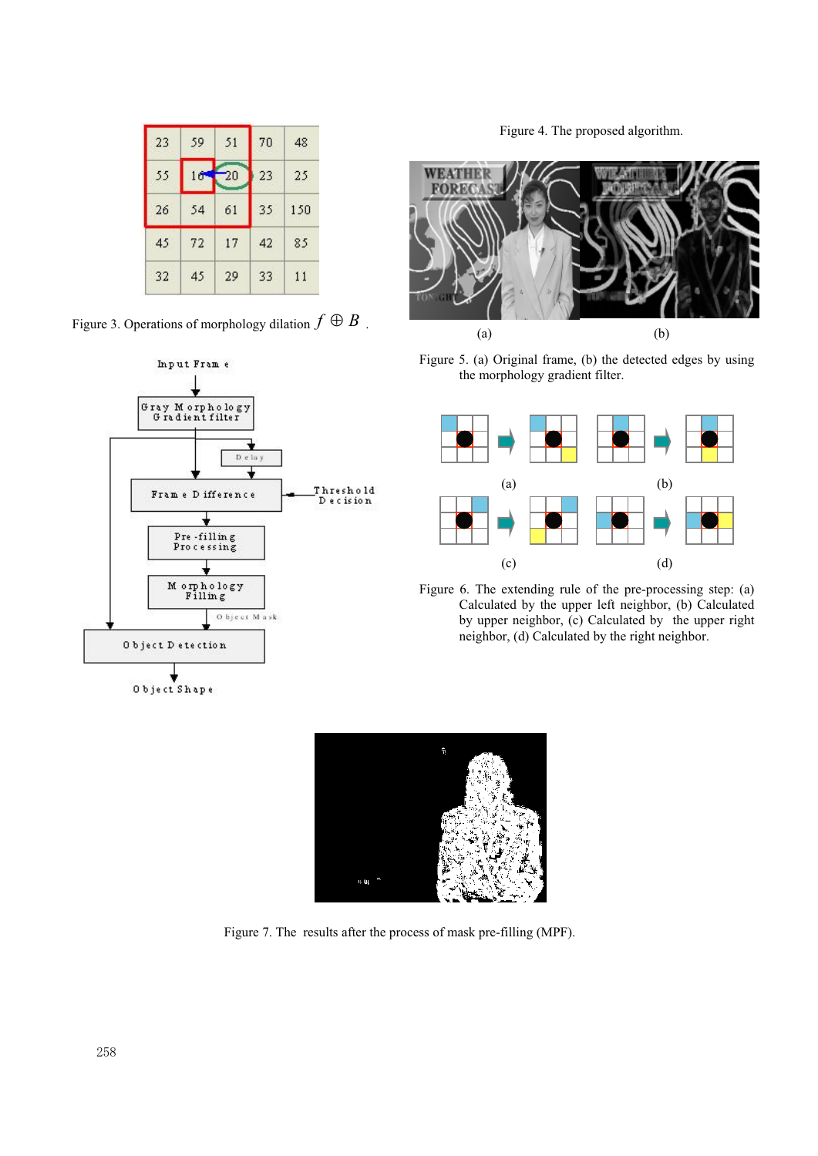| 23 | 59 | 51 | 70 | 48  |
|----|----|----|----|-----|
| 55 | 16 | 20 | 23 | 25  |
| 26 | 54 | 61 | 35 | 150 |
| 45 | 72 | 17 | 42 | 85  |
| 32 | 45 | 29 | 33 | 11  |



Figure 4. The proposed algorithm.



Figure 5. (a) Original frame, (b) the detected edges by using the morphology gradient filter.



Figure 6. The extending rule of the pre-processing step: (a) Calculated by the upper left neighbor, (b) Calculated by upper neighbor, (c) Calculated by the upper right neighbor, (d) Calculated by the right neighbor.



Figure 7. The results after the process of mask pre-filling (MPF).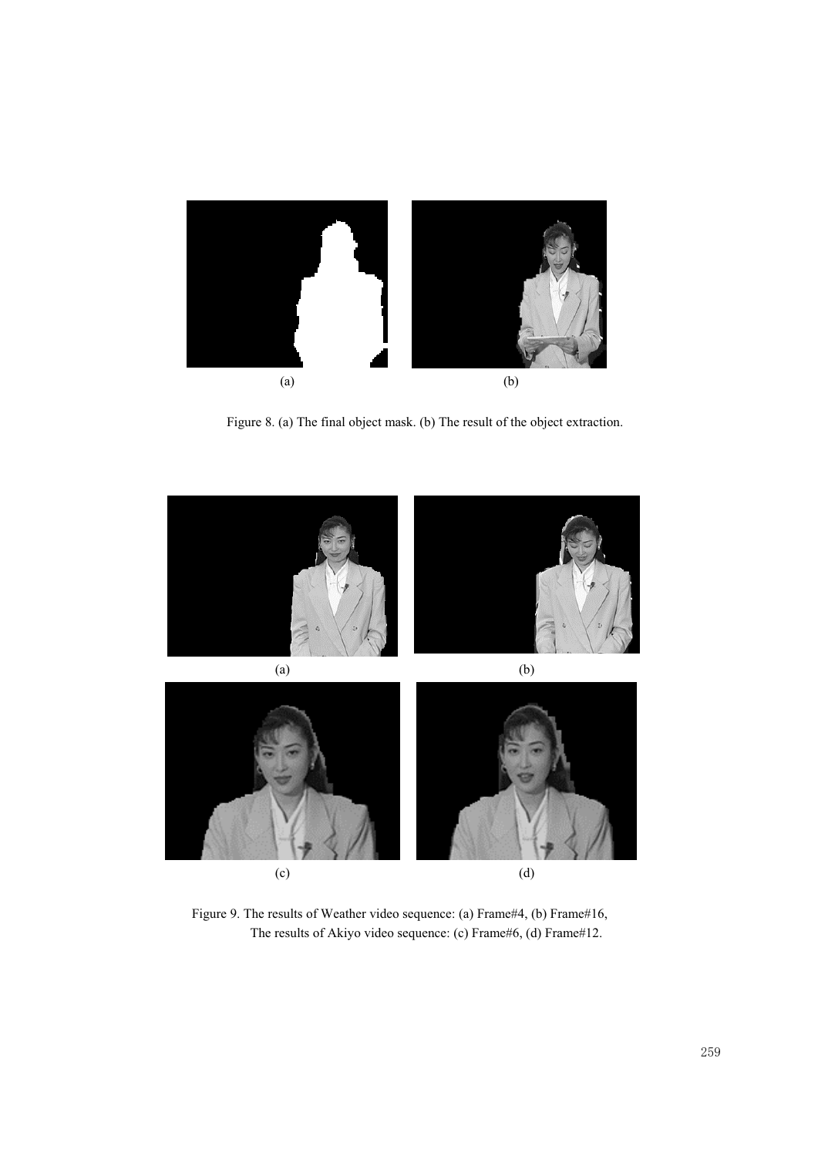

Figure 8. (a) The final object mask. (b) The result of the object extraction.



Figure 9. The results of Weather video sequence: (a) Frame#4, (b) Frame#16, The results of Akiyo video sequence: (c) Frame#6, (d) Frame#12.